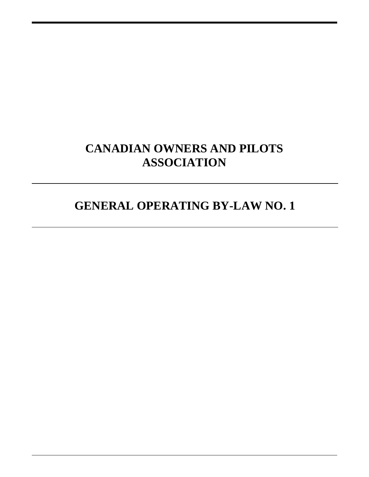# **CANADIAN OWNERS AND PILOTS ASSOCIATION**

# **GENERAL OPERATING BY-LAW NO. 1**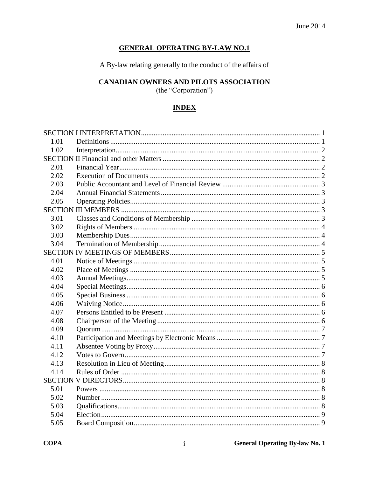## **GENERAL OPERATING BY-LAW NO.1**

A By-law relating generally to the conduct of the affairs of

# CANADIAN OWNERS AND PILOTS ASSOCIATION

(the "Corporation")

# **INDEX**

| 1.01 |  |
|------|--|
| 1.02 |  |
|      |  |
| 2.01 |  |
| 2.02 |  |
| 2.03 |  |
| 2.04 |  |
| 2.05 |  |
|      |  |
| 3.01 |  |
| 3.02 |  |
| 3.03 |  |
| 3.04 |  |
|      |  |
| 4.01 |  |
| 4.02 |  |
| 4.03 |  |
| 4.04 |  |
| 4.05 |  |
| 4.06 |  |
| 4.07 |  |
| 4.08 |  |
| 4.09 |  |
| 4.10 |  |
| 4.11 |  |
| 4.12 |  |
| 4.13 |  |
| 4.14 |  |
|      |  |
| 5.01 |  |
| 5.02 |  |
| 5.03 |  |
| 5.04 |  |
| 5.05 |  |
|      |  |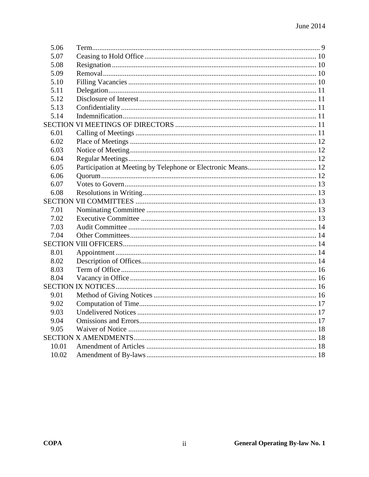| 5.06  |  |
|-------|--|
| 5.07  |  |
| 5.08  |  |
| 5.09  |  |
| 5.10  |  |
| 5.11  |  |
| 5.12  |  |
| 5.13  |  |
| 5.14  |  |
|       |  |
| 6.01  |  |
| 6.02  |  |
| 6.03  |  |
| 6.04  |  |
| 6.05  |  |
| 6.06  |  |
| 6.07  |  |
| 6.08  |  |
|       |  |
| 7.01  |  |
| 7.02  |  |
| 7.03  |  |
| 7.04  |  |
|       |  |
| 8.01  |  |
| 8.02  |  |
| 8.03  |  |
| 8.04  |  |
|       |  |
| 9.01  |  |
| 9.02  |  |
| 9.03  |  |
| 9.04  |  |
| 9.05  |  |
|       |  |
| 10.01 |  |
| 10.02 |  |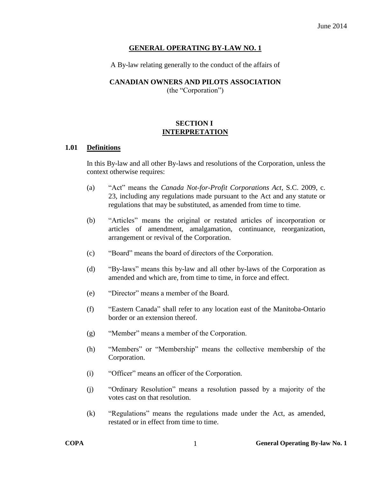#### **GENERAL OPERATING BY-LAW NO. 1**

A By-law relating generally to the conduct of the affairs of

#### **CANADIAN OWNERS AND PILOTS ASSOCIATION**

(the "Corporation")

## **SECTION I INTERPRETATION**

#### <span id="page-3-1"></span><span id="page-3-0"></span>**1.01 Definitions**

In this By-law and all other By-laws and resolutions of the Corporation, unless the context otherwise requires:

- (a) "Act" means the *Canada Not-for-Profit Corporations Act*, S.C. 2009, c. 23, including any regulations made pursuant to the Act and any statute or regulations that may be substituted, as amended from time to time.
- (b) "Articles" means the original or restated articles of incorporation or articles of amendment, amalgamation, continuance, reorganization, arrangement or revival of the Corporation.
- (c) "Board" means the board of directors of the Corporation.
- (d) "By-laws" means this by-law and all other by-laws of the Corporation as amended and which are, from time to time, in force and effect.
- (e) "Director" means a member of the Board.
- (f) "Eastern Canada" shall refer to any location east of the Manitoba-Ontario border or an extension thereof.
- (g) "Member" means a member of the Corporation.
- (h) "Members" or "Membership" means the collective membership of the Corporation.
- (i) "Officer" means an officer of the Corporation.
- (j) "Ordinary Resolution" means a resolution passed by a majority of the votes cast on that resolution.
- (k) "Regulations" means the regulations made under the Act, as amended, restated or in effect from time to time.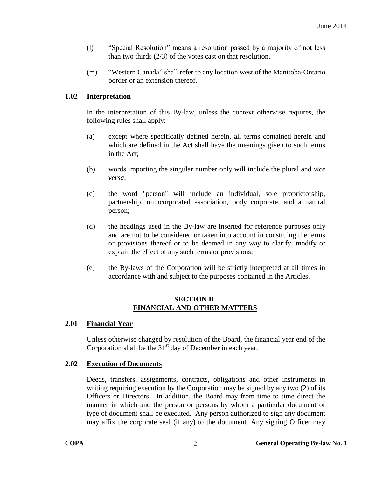- (l) "Special Resolution" means a resolution passed by a majority of not less than two thirds (2/3) of the votes cast on that resolution.
- (m) "Western Canada" shall refer to any location west of the Manitoba-Ontario border or an extension thereof.

## <span id="page-4-0"></span>**1.02 Interpretation**

In the interpretation of this By-law, unless the context otherwise requires, the following rules shall apply:

- (a) except where specifically defined herein, all terms contained herein and which are defined in the Act shall have the meanings given to such terms in the Act;
- (b) words importing the singular number only will include the plural and *vice versa*;
- (c) the word "person" will include an individual, sole proprietorship, partnership, unincorporated association, body corporate, and a natural person;
- (d) the headings used in the By-law are inserted for reference purposes only and are not to be considered or taken into account in construing the terms or provisions thereof or to be deemed in any way to clarify, modify or explain the effect of any such terms or provisions;
- (e) the By-laws of the Corporation will be strictly interpreted at all times in accordance with and subject to the purposes contained in the Articles.

## **SECTION II FINANCIAL AND OTHER MATTERS**

## <span id="page-4-2"></span><span id="page-4-1"></span>**2.01 Financial Year**

Unless otherwise changed by resolution of the Board, the financial year end of the Corporation shall be the  $31<sup>st</sup>$  day of December in each year.

## <span id="page-4-3"></span>**2.02 Execution of Documents**

Deeds, transfers, assignments, contracts, obligations and other instruments in writing requiring execution by the Corporation may be signed by any two (2) of its Officers or Directors. In addition, the Board may from time to time direct the manner in which and the person or persons by whom a particular document or type of document shall be executed. Any person authorized to sign any document may affix the corporate seal (if any) to the document. Any signing Officer may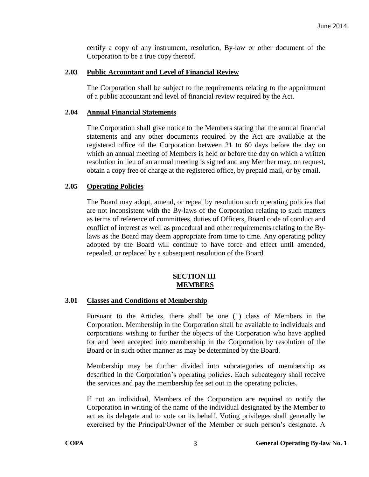certify a copy of any instrument, resolution, By-law or other document of the Corporation to be a true copy thereof.

#### <span id="page-5-0"></span>**2.03 Public Accountant and Level of Financial Review**

The Corporation shall be subject to the requirements relating to the appointment of a public accountant and level of financial review required by the Act.

#### <span id="page-5-1"></span>**2.04 Annual Financial Statements**

The Corporation shall give notice to the Members stating that the annual financial statements and any other documents required by the Act are available at the registered office of the Corporation between 21 to 60 days before the day on which an annual meeting of Members is held or before the day on which a written resolution in lieu of an annual meeting is signed and any Member may, on request, obtain a copy free of charge at the registered office, by prepaid mail, or by email.

#### <span id="page-5-2"></span>**2.05 Operating Policies**

The Board may adopt, amend, or repeal by resolution such operating policies that are not inconsistent with the By-laws of the Corporation relating to such matters as terms of reference of committees, duties of Officers, Board code of conduct and conflict of interest as well as procedural and other requirements relating to the Bylaws as the Board may deem appropriate from time to time. Any operating policy adopted by the Board will continue to have force and effect until amended, repealed, or replaced by a subsequent resolution of the Board.

#### **SECTION III MEMBERS**

## <span id="page-5-4"></span><span id="page-5-3"></span>**3.01 Classes and Conditions of Membership**

Pursuant to the Articles, there shall be one (1) class of Members in the Corporation. Membership in the Corporation shall be available to individuals and corporations wishing to further the objects of the Corporation who have applied for and been accepted into membership in the Corporation by resolution of the Board or in such other manner as may be determined by the Board.

Membership may be further divided into subcategories of membership as described in the Corporation's operating policies. Each subcategory shall receive the services and pay the membership fee set out in the operating policies.

If not an individual, Members of the Corporation are required to notify the Corporation in writing of the name of the individual designated by the Member to act as its delegate and to vote on its behalf. Voting privileges shall generally be exercised by the Principal/Owner of the Member or such person's designate. A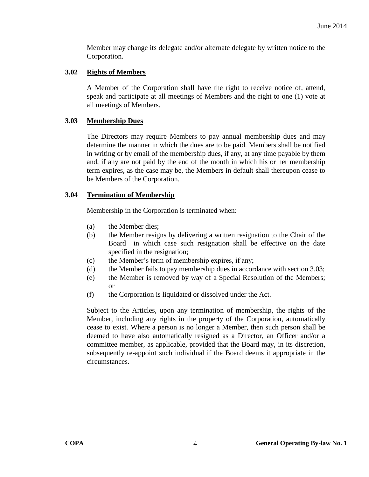Member may change its delegate and/or alternate delegate by written notice to the Corporation.

### <span id="page-6-0"></span>**3.02 Rights of Members**

A Member of the Corporation shall have the right to receive notice of, attend, speak and participate at all meetings of Members and the right to one (1) vote at all meetings of Members.

#### <span id="page-6-1"></span>**3.03 Membership Dues**

The Directors may require Members to pay annual membership dues and may determine the manner in which the dues are to be paid. Members shall be notified in writing or by email of the membership dues, if any, at any time payable by them and, if any are not paid by the end of the month in which his or her membership term expires, as the case may be, the Members in default shall thereupon cease to be Members of the Corporation.

#### <span id="page-6-2"></span>**3.04 Termination of Membership**

Membership in the Corporation is terminated when:

- (a) the Member dies;
- (b) the Member resigns by delivering a written resignation to the Chair of the Board in which case such resignation shall be effective on the date specified in the resignation;
- (c) the Member's term of membership expires, if any;
- (d) the Member fails to pay membership dues in accordance with section 3.03;
- (e) the Member is removed by way of a Special Resolution of the Members; or
- (f) the Corporation is liquidated or dissolved under the Act.

Subject to the Articles, upon any termination of membership, the rights of the Member, including any rights in the property of the Corporation, automatically cease to exist. Where a person is no longer a Member, then such person shall be deemed to have also automatically resigned as a Director, an Officer and/or a committee member, as applicable, provided that the Board may, in its discretion, subsequently re-appoint such individual if the Board deems it appropriate in the circumstances.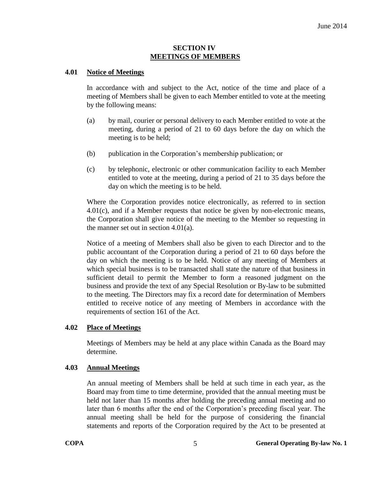#### **SECTION IV MEETINGS OF MEMBERS**

#### <span id="page-7-1"></span><span id="page-7-0"></span>**4.01 Notice of Meetings**

In accordance with and subject to the Act, notice of the time and place of a meeting of Members shall be given to each Member entitled to vote at the meeting by the following means:

- (a) by mail, courier or personal delivery to each Member entitled to vote at the meeting, during a period of 21 to 60 days before the day on which the meeting is to be held;
- (b) publication in the Corporation's membership publication; or
- (c) by telephonic, electronic or other communication facility to each Member entitled to vote at the meeting, during a period of 21 to 35 days before the day on which the meeting is to be held.

Where the Corporation provides notice electronically, as referred to in section [4.01\(c\),](#page-7-1) and if a Member requests that notice be given by non-electronic means, the Corporation shall give notice of the meeting to the Member so requesting in the manner set out in section [4.01\(a\).](#page-7-1)

Notice of a meeting of Members shall also be given to each Director and to the public accountant of the Corporation during a period of 21 to 60 days before the day on which the meeting is to be held. Notice of any meeting of Members at which special business is to be transacted shall state the nature of that business in sufficient detail to permit the Member to form a reasoned judgment on the business and provide the text of any Special Resolution or By-law to be submitted to the meeting. The Directors may fix a record date for determination of Members entitled to receive notice of any meeting of Members in accordance with the requirements of section 161 of the Act.

#### <span id="page-7-2"></span>**4.02 Place of Meetings**

Meetings of Members may be held at any place within Canada as the Board may determine.

#### <span id="page-7-3"></span>**4.03 Annual Meetings**

An annual meeting of Members shall be held at such time in each year, as the Board may from time to time determine, provided that the annual meeting must be held not later than 15 months after holding the preceding annual meeting and no later than 6 months after the end of the Corporation's preceding fiscal year. The annual meeting shall be held for the purpose of considering the financial statements and reports of the Corporation required by the Act to be presented at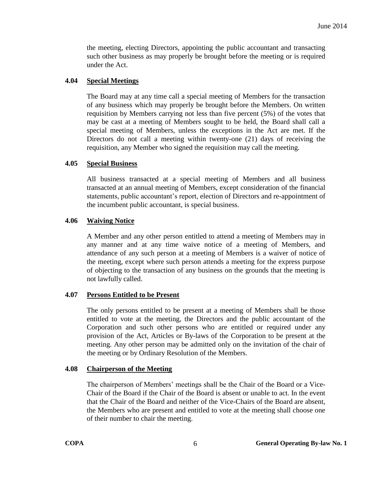the meeting, electing Directors, appointing the public accountant and transacting such other business as may properly be brought before the meeting or is required under the Act.

### <span id="page-8-0"></span>**4.04 Special Meetings**

The Board may at any time call a special meeting of Members for the transaction of any business which may properly be brought before the Members. On written requisition by Members carrying not less than five percent (5%) of the votes that may be cast at a meeting of Members sought to be held, the Board shall call a special meeting of Members, unless the exceptions in the Act are met. If the Directors do not call a meeting within twenty-one (21) days of receiving the requisition, any Member who signed the requisition may call the meeting.

#### <span id="page-8-1"></span>**4.05 Special Business**

All business transacted at a special meeting of Members and all business transacted at an annual meeting of Members, except consideration of the financial statements, public accountant's report, election of Directors and re-appointment of the incumbent public accountant, is special business.

#### <span id="page-8-2"></span>**4.06 Waiving Notice**

A Member and any other person entitled to attend a meeting of Members may in any manner and at any time waive notice of a meeting of Members, and attendance of any such person at a meeting of Members is a waiver of notice of the meeting, except where such person attends a meeting for the express purpose of objecting to the transaction of any business on the grounds that the meeting is not lawfully called.

## <span id="page-8-3"></span>**4.07 Persons Entitled to be Present**

The only persons entitled to be present at a meeting of Members shall be those entitled to vote at the meeting, the Directors and the public accountant of the Corporation and such other persons who are entitled or required under any provision of the Act, Articles or By-laws of the Corporation to be present at the meeting. Any other person may be admitted only on the invitation of the chair of the meeting or by Ordinary Resolution of the Members.

#### <span id="page-8-4"></span>**4.08 Chairperson of the Meeting**

The chairperson of Members' meetings shall be the Chair of the Board or a Vice-Chair of the Board if the Chair of the Board is absent or unable to act. In the event that the Chair of the Board and neither of the Vice-Chairs of the Board are absent, the Members who are present and entitled to vote at the meeting shall choose one of their number to chair the meeting.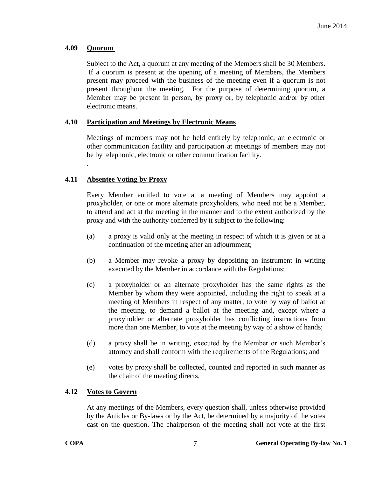## <span id="page-9-0"></span>**4.09 Quorum**

.

Subject to the Act, a quorum at any meeting of the Members shall be 30 Members. If a quorum is present at the opening of a meeting of Members, the Members present may proceed with the business of the meeting even if a quorum is not present throughout the meeting. For the purpose of determining quorum, a Member may be present in person, by proxy or, by telephonic and/or by other electronic means.

# <span id="page-9-1"></span>**4.10 Participation and Meetings by Electronic Means**

Meetings of members may not be held entirely by telephonic, an electronic or other communication facility and participation at meetings of members may not be by telephonic, electronic or other communication facility.

# <span id="page-9-2"></span>**4.11 Absentee Voting by Proxy**

Every Member entitled to vote at a meeting of Members may appoint a proxyholder, or one or more alternate proxyholders, who need not be a Member, to attend and act at the meeting in the manner and to the extent authorized by the proxy and with the authority conferred by it subject to the following:

- (a) a proxy is valid only at the meeting in respect of which it is given or at a continuation of the meeting after an adjournment;
- (b) a Member may revoke a proxy by depositing an instrument in writing executed by the Member in accordance with the Regulations;
- (c) a proxyholder or an alternate proxyholder has the same rights as the Member by whom they were appointed, including the right to speak at a meeting of Members in respect of any matter, to vote by way of ballot at the meeting, to demand a ballot at the meeting and, except where a proxyholder or alternate proxyholder has conflicting instructions from more than one Member, to vote at the meeting by way of a show of hands;
- (d) a proxy shall be in writing, executed by the Member or such Member's attorney and shall conform with the requirements of the Regulations; and
- (e) votes by proxy shall be collected, counted and reported in such manner as the chair of the meeting directs.

## <span id="page-9-3"></span>**4.12 Votes to Govern**

At any meetings of the Members, every question shall, unless otherwise provided by the Articles or By-laws or by the Act, be determined by a majority of the votes cast on the question. The chairperson of the meeting shall not vote at the first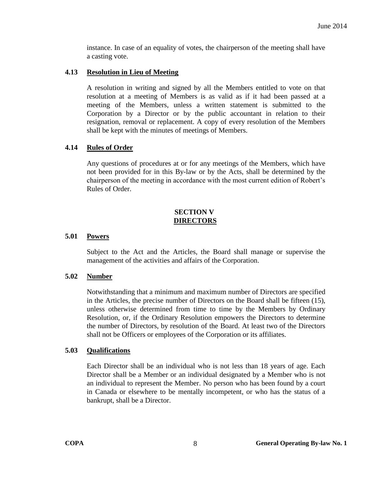instance. In case of an equality of votes, the chairperson of the meeting shall have a casting vote.

## <span id="page-10-0"></span>**4.13 Resolution in Lieu of Meeting**

A resolution in writing and signed by all the Members entitled to vote on that resolution at a meeting of Members is as valid as if it had been passed at a meeting of the Members, unless a written statement is submitted to the Corporation by a Director or by the public accountant in relation to their resignation, removal or replacement. A copy of every resolution of the Members shall be kept with the minutes of meetings of Members.

#### <span id="page-10-1"></span>**4.14 Rules of Order**

Any questions of procedures at or for any meetings of the Members, which have not been provided for in this By-law or by the Acts, shall be determined by the chairperson of the meeting in accordance with the most current edition of Robert's Rules of Order.

#### **SECTION V DIRECTORS**

#### <span id="page-10-3"></span><span id="page-10-2"></span>**5.01 Powers**

Subject to the Act and the Articles, the Board shall manage or supervise the management of the activities and affairs of the Corporation.

#### <span id="page-10-4"></span>**5.02 Number**

Notwithstanding that a minimum and maximum number of Directors are specified in the Articles, the precise number of Directors on the Board shall be fifteen (15), unless otherwise determined from time to time by the Members by Ordinary Resolution, or, if the Ordinary Resolution empowers the Directors to determine the number of Directors, by resolution of the Board. At least two of the Directors shall not be Officers or employees of the Corporation or its affiliates.

#### <span id="page-10-5"></span>**5.03 Qualifications**

Each Director shall be an individual who is not less than 18 years of age. Each Director shall be a Member or an individual designated by a Member who is not an individual to represent the Member. No person who has been found by a court in Canada or elsewhere to be mentally incompetent, or who has the status of a bankrupt, shall be a Director.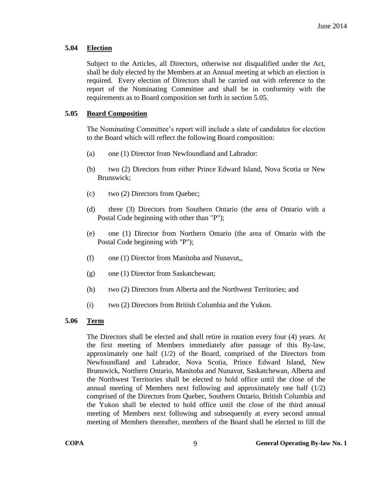## <span id="page-11-0"></span>**5.04 Election**

Subject to the Articles, all Directors, otherwise not disqualified under the Act, shall be duly elected by the Members at an Annual meeting at which an election is required. Every election of Directors shall be carried out with reference to the report of the Nominating Committee and shall be in conformity with the requirements as to Board composition set forth in section 5.05.

# <span id="page-11-1"></span>**5.05 Board Composition**

The Nominating Committee's report will include a slate of candidates for election to the Board which will reflect the following Board composition:

- (a) one (1) Director from Newfoundland and Labrador:
- (b) two (2) Directors from either Prince Edward Island, Nova Scotia or New Brunswick;
- (c) two (2) Directors from Quebec;
- (d) three (3) Directors from Southern Ontario (the area of Ontario with a Postal Code beginning with other than "P");
- (e) one (1) Director from Northern Ontario (the area of Ontario with the Postal Code beginning with "P");
- (f) one (1) Director from Manitoba and Nunavut,,
- (g) one (1) Director from Saskatchewan;
- (h) two (2) Directors from Alberta and the Northwest Territories; and
- (i) two (2) Directors from British Columbia and the Yukon.

## <span id="page-11-2"></span>**5.06 Term**

The Directors shall be elected and shall retire in rotation every four (4) years. At the first meeting of Members immediately after passage of this By-law, approximately one half  $(1/2)$  of the Board, comprised of the Directors from Newfoundland and Labrador, Nova Scotia, Prince Edward Island, New Brunswick, Northern Ontario, Manitoba and Nunavut, Saskatchewan, Alberta and the Northwest Territories shall be elected to hold office until the close of the annual meeting of Members next following and approximately one half  $(1/2)$ comprised of the Directors from Quebec, Southern Ontario, British Columbia and the Yukon shall be elected to hold office until the close of the third annual meeting of Members next following and subsequently at every second annual meeting of Members thereafter, members of the Board shall be elected to fill the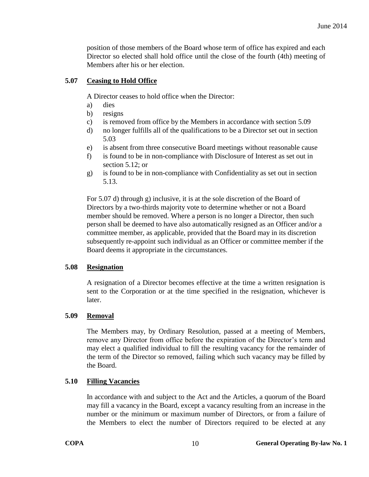position of those members of the Board whose term of office has expired and each Director so elected shall hold office until the close of the fourth (4th) meeting of Members after his or her election.

## <span id="page-12-1"></span><span id="page-12-0"></span>**5.07 Ceasing to Hold Office**

A Director ceases to hold office when the Director:

- a) dies
- b) resigns
- c) is removed from office by the Members in accordance with section 5.09
- d) no longer fulfills all of the qualifications to be a Director set out in section 5.03
- e) is absent from three consecutive Board meetings without reasonable cause
- f) is found to be in non-compliance with Disclosure of Interest as set out in section 5.12; or
- g) is found to be in non-compliance with Confidentiality as set out in section 5.13.

For 5.07 d) through g) inclusive, it is at the sole discretion of the Board of Directors by a two-thirds majority vote to determine whether or not a Board member should be removed. Where a person is no longer a Director, then such person shall be deemed to have also automatically resigned as an Officer and/or a committee member, as applicable, provided that the Board may in its discretion subsequently re-appoint such individual as an Officer or committee member if the Board deems it appropriate in the circumstances.

## **5.08 Resignation**

A resignation of a Director becomes effective at the time a written resignation is sent to the Corporation or at the time specified in the resignation, whichever is later.

## <span id="page-12-2"></span>**5.09 Removal**

The Members may, by Ordinary Resolution, passed at a meeting of Members, remove any Director from office before the expiration of the Director's term and may elect a qualified individual to fill the resulting vacancy for the remainder of the term of the Director so removed, failing which such vacancy may be filled by the Board.

# <span id="page-12-3"></span>**5.10 Filling Vacancies**

In accordance with and subject to the Act and the Articles, a quorum of the Board may fill a vacancy in the Board, except a vacancy resulting from an increase in the number or the minimum or maximum number of Directors, or from a failure of the Members to elect the number of Directors required to be elected at any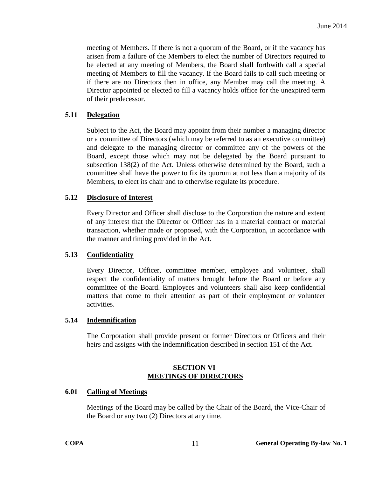meeting of Members. If there is not a quorum of the Board, or if the vacancy has arisen from a failure of the Members to elect the number of Directors required to be elected at any meeting of Members, the Board shall forthwith call a special meeting of Members to fill the vacancy. If the Board fails to call such meeting or if there are no Directors then in office, any Member may call the meeting. A Director appointed or elected to fill a vacancy holds office for the unexpired term of their predecessor.

### <span id="page-13-0"></span>**5.11 Delegation**

Subject to the Act, the Board may appoint from their number a managing director or a committee of Directors (which may be referred to as an executive committee) and delegate to the managing director or committee any of the powers of the Board, except those which may not be delegated by the Board pursuant to subsection 138(2) of the Act. Unless otherwise determined by the Board, such a committee shall have the power to fix its quorum at not less than a majority of its Members, to elect its chair and to otherwise regulate its procedure.

#### <span id="page-13-1"></span>**5.12 Disclosure of Interest**

Every Director and Officer shall disclose to the Corporation the nature and extent of any interest that the Director or Officer has in a material contract or material transaction, whether made or proposed, with the Corporation, in accordance with the manner and timing provided in the Act.

## <span id="page-13-2"></span>**5.13 Confidentiality**

Every Director, Officer, committee member, employee and volunteer, shall respect the confidentiality of matters brought before the Board or before any committee of the Board. Employees and volunteers shall also keep confidential matters that come to their attention as part of their employment or volunteer activities.

#### <span id="page-13-3"></span>**5.14 Indemnification**

The Corporation shall provide present or former Directors or Officers and their heirs and assigns with the indemnification described in section 151 of the Act.

#### **SECTION VI MEETINGS OF DIRECTORS**

#### <span id="page-13-5"></span><span id="page-13-4"></span>**6.01 Calling of Meetings**

Meetings of the Board may be called by the Chair of the Board, the Vice-Chair of the Board or any two (2) Directors at any time.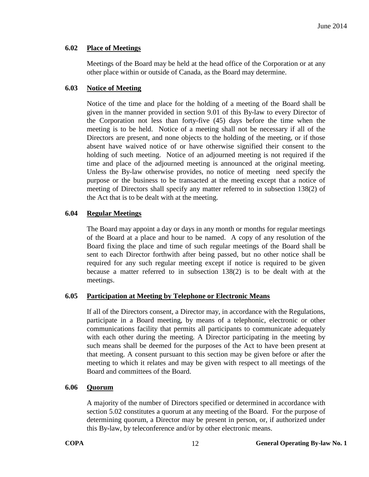## <span id="page-14-0"></span>**6.02 Place of Meetings**

Meetings of the Board may be held at the head office of the Corporation or at any other place within or outside of Canada, as the Board may determine.

# <span id="page-14-1"></span>**6.03 Notice of Meeting**

Notice of the time and place for the holding of a meeting of the Board shall be given in the manner provided in section [9.01](#page-18-3) of this By-law to every Director of the Corporation not less than forty-five (45) days before the time when the meeting is to be held. Notice of a meeting shall not be necessary if all of the Directors are present, and none objects to the holding of the meeting, or if those absent have waived notice of or have otherwise signified their consent to the holding of such meeting. Notice of an adjourned meeting is not required if the time and place of the adjourned meeting is announced at the original meeting. Unless the By-law otherwise provides, no notice of meeting need specify the purpose or the business to be transacted at the meeting except that a notice of meeting of Directors shall specify any matter referred to in subsection 138(2) of the Act that is to be dealt with at the meeting.

# <span id="page-14-2"></span>**6.04 Regular Meetings**

The Board may appoint a day or days in any month or months for regular meetings of the Board at a place and hour to be named. A copy of any resolution of the Board fixing the place and time of such regular meetings of the Board shall be sent to each Director forthwith after being passed, but no other notice shall be required for any such regular meeting except if notice is required to be given because a matter referred to in subsection 138(2) is to be dealt with at the meetings.

## <span id="page-14-3"></span>**6.05 Participation at Meeting by Telephone or Electronic Means**

If all of the Directors consent, a Director may, in accordance with the Regulations, participate in a Board meeting, by means of a telephonic, electronic or other communications facility that permits all participants to communicate adequately with each other during the meeting. A Director participating in the meeting by such means shall be deemed for the purposes of the Act to have been present at that meeting. A consent pursuant to this section may be given before or after the meeting to which it relates and may be given with respect to all meetings of the Board and committees of the Board.

## <span id="page-14-4"></span>**6.06 Quorum**

A majority of the number of Directors specified or determined in accordance with section 5.02 constitutes a quorum at any meeting of the Board. For the purpose of determining quorum, a Director may be present in person, or, if authorized under this By-law, by teleconference and/or by other electronic means.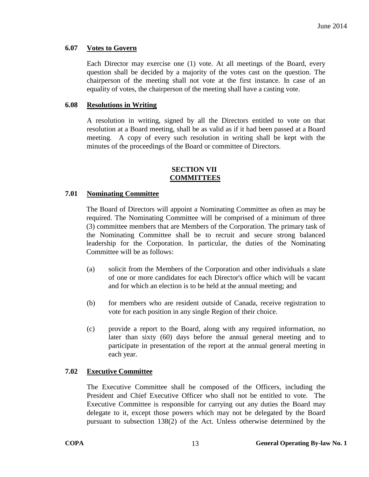#### <span id="page-15-0"></span>**6.07 Votes to Govern**

Each Director may exercise one (1) vote. At all meetings of the Board, every question shall be decided by a majority of the votes cast on the question. The chairperson of the meeting shall not vote at the first instance. In case of an equality of votes, the chairperson of the meeting shall have a casting vote.

#### <span id="page-15-1"></span>**6.08 Resolutions in Writing**

A resolution in writing, signed by all the Directors entitled to vote on that resolution at a Board meeting, shall be as valid as if it had been passed at a Board meeting. A copy of every such resolution in writing shall be kept with the minutes of the proceedings of the Board or committee of Directors.

#### **SECTION VII COMMITTEES**

#### <span id="page-15-3"></span><span id="page-15-2"></span>**7.01 Nominating Committee**

The Board of Directors will appoint a Nominating Committee as often as may be required. The Nominating Committee will be comprised of a minimum of three (3) committee members that are Members of the Corporation. The primary task of the Nominating Committee shall be to recruit and secure strong balanced leadership for the Corporation. In particular, the duties of the Nominating Committee will be as follows:

- (a) solicit from the Members of the Corporation and other individuals a slate of one or more candidates for each Director's office which will be vacant and for which an election is to be held at the annual meeting; and
- (b) for members who are resident outside of Canada, receive registration to vote for each position in any single Region of their choice.
- (c) provide a report to the Board, along with any required information, no later than sixty (60) days before the annual general meeting and to participate in presentation of the report at the annual general meeting in each year.

#### <span id="page-15-4"></span>**7.02 Executive Committee**

The Executive Committee shall be composed of the Officers, including the President and Chief Executive Officer who shall not be entitled to vote. The Executive Committee is responsible for carrying out any duties the Board may delegate to it, except those powers which may not be delegated by the Board pursuant to subsection 138(2) of the Act. Unless otherwise determined by the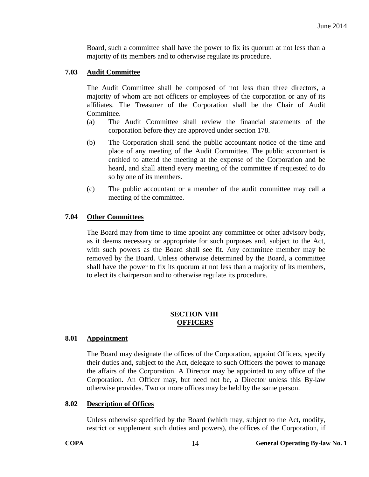Board, such a committee shall have the power to fix its quorum at not less than a majority of its members and to otherwise regulate its procedure.

#### <span id="page-16-0"></span>**7.03 Audit Committee**

The Audit Committee shall be composed of not less than three directors, a majority of whom are not officers or employees of the corporation or any of its affiliates. The Treasurer of the Corporation shall be the Chair of Audit Committee.

- (a) The Audit Committee shall review the financial statements of the corporation before they are approved under section 178.
- (b) The Corporation shall send the public accountant notice of the time and place of any meeting of the Audit Committee. The public accountant is entitled to attend the meeting at the expense of the Corporation and be heard, and shall attend every meeting of the committee if requested to do so by one of its members.
- (c) The public accountant or a member of the audit committee may call a meeting of the committee.

## <span id="page-16-1"></span>**7.04 Other Committees**

The Board may from time to time appoint any committee or other advisory body, as it deems necessary or appropriate for such purposes and, subject to the Act, with such powers as the Board shall see fit. Any committee member may be removed by the Board. Unless otherwise determined by the Board, a committee shall have the power to fix its quorum at not less than a majority of its members, to elect its chairperson and to otherwise regulate its procedure.

#### **SECTION VIII OFFICERS**

#### <span id="page-16-3"></span><span id="page-16-2"></span>**8.01 Appointment**

The Board may designate the offices of the Corporation, appoint Officers, specify their duties and, subject to the Act, delegate to such Officers the power to manage the affairs of the Corporation. A Director may be appointed to any office of the Corporation. An Officer may, but need not be, a Director unless this By-law otherwise provides. Two or more offices may be held by the same person.

#### <span id="page-16-4"></span>**8.02 Description of Offices**

Unless otherwise specified by the Board (which may, subject to the Act, modify, restrict or supplement such duties and powers), the offices of the Corporation, if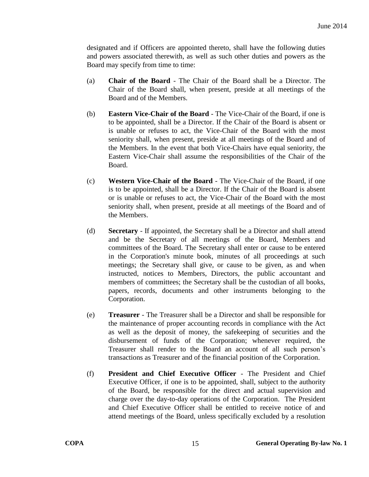designated and if Officers are appointed thereto, shall have the following duties and powers associated therewith, as well as such other duties and powers as the Board may specify from time to time:

- (a) **Chair of the Board** The Chair of the Board shall be a Director. The Chair of the Board shall, when present, preside at all meetings of the Board and of the Members.
- (b) **Eastern Vice-Chair of the Board** The Vice-Chair of the Board, if one is to be appointed, shall be a Director. If the Chair of the Board is absent or is unable or refuses to act, the Vice-Chair of the Board with the most seniority shall, when present, preside at all meetings of the Board and of the Members. In the event that both Vice-Chairs have equal seniority, the Eastern Vice-Chair shall assume the responsibilities of the Chair of the Board.
- (c) **Western Vice-Chair of the Board** The Vice-Chair of the Board, if one is to be appointed, shall be a Director. If the Chair of the Board is absent or is unable or refuses to act, the Vice-Chair of the Board with the most seniority shall, when present, preside at all meetings of the Board and of the Members.
- (d) **Secretary** If appointed, the Secretary shall be a Director and shall attend and be the Secretary of all meetings of the Board, Members and committees of the Board. The Secretary shall enter or cause to be entered in the Corporation's minute book, minutes of all proceedings at such meetings; the Secretary shall give, or cause to be given, as and when instructed, notices to Members, Directors, the public accountant and members of committees; the Secretary shall be the custodian of all books, papers, records, documents and other instruments belonging to the Corporation.
- (e) **Treasurer** The Treasurer shall be a Director and shall be responsible for the maintenance of proper accounting records in compliance with the Act as well as the deposit of money, the safekeeping of securities and the disbursement of funds of the Corporation; whenever required, the Treasurer shall render to the Board an account of all such person's transactions as Treasurer and of the financial position of the Corporation.
- (f) **President and Chief Executive Officer** The President and Chief Executive Officer, if one is to be appointed, shall, subject to the authority of the Board, be responsible for the direct and actual supervision and charge over the day-to-day operations of the Corporation. The President and Chief Executive Officer shall be entitled to receive notice of and attend meetings of the Board, unless specifically excluded by a resolution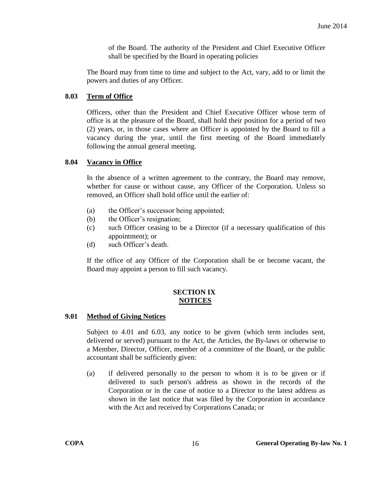of the Board. The authority of the President and Chief Executive Officer shall be specified by the Board in operating policies

The Board may from time to time and subject to the Act, vary, add to or limit the powers and duties of any Officer.

## <span id="page-18-0"></span>**8.03 Term of Office**

Officers, other than the President and Chief Executive Officer whose term of office is at the pleasure of the Board, shall hold their position for a period of two (2) years, or, in those cases where an Officer is appointed by the Board to fill a vacancy during the year, until the first meeting of the Board immediately following the annual general meeting.

# <span id="page-18-1"></span>**8.04 Vacancy in Office**

In the absence of a written agreement to the contrary, the Board may remove, whether for cause or without cause, any Officer of the Corporation. Unless so removed, an Officer shall hold office until the earlier of:

- (a) the Officer's successor being appointed;
- (b) the Officer's resignation;
- (c) such Officer ceasing to be a Director (if a necessary qualification of this appointment); or
- (d) such Officer's death.

If the office of any Officer of the Corporation shall be or become vacant, the Board may appoint a person to fill such vacancy.

## **SECTION IX NOTICES**

## <span id="page-18-3"></span><span id="page-18-2"></span>**9.01 Method of Giving Notices**

Subject to [4.01](#page-7-1) and [6.03,](#page-14-1) any notice to be given (which term includes sent, delivered or served) pursuant to the Act, the Articles, the By-laws or otherwise to a Member, Director, Officer, member of a committee of the Board, or the public accountant shall be sufficiently given:

(a) if delivered personally to the person to whom it is to be given or if delivered to such person's address as shown in the records of the Corporation or in the case of notice to a Director to the latest address as shown in the last notice that was filed by the Corporation in accordance with the Act and received by Corporations Canada; or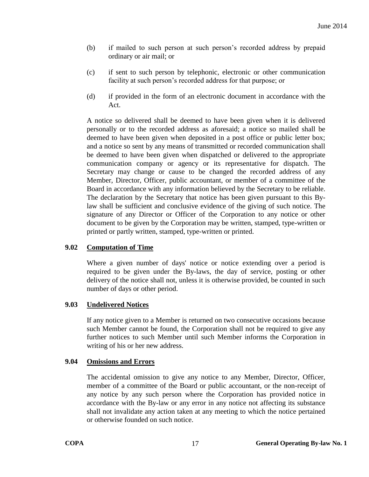- (b) if mailed to such person at such person's recorded address by prepaid ordinary or air mail; or
- (c) if sent to such person by telephonic, electronic or other communication facility at such person's recorded address for that purpose; or
- (d) if provided in the form of an electronic document in accordance with the Act.

A notice so delivered shall be deemed to have been given when it is delivered personally or to the recorded address as aforesaid; a notice so mailed shall be deemed to have been given when deposited in a post office or public letter box; and a notice so sent by any means of transmitted or recorded communication shall be deemed to have been given when dispatched or delivered to the appropriate communication company or agency or its representative for dispatch. The Secretary may change or cause to be changed the recorded address of any Member, Director, Officer, public accountant, or member of a committee of the Board in accordance with any information believed by the Secretary to be reliable. The declaration by the Secretary that notice has been given pursuant to this Bylaw shall be sufficient and conclusive evidence of the giving of such notice. The signature of any Director or Officer of the Corporation to any notice or other document to be given by the Corporation may be written, stamped, type-written or printed or partly written, stamped, type-written or printed.

## <span id="page-19-0"></span>**9.02 Computation of Time**

Where a given number of days' notice or notice extending over a period is required to be given under the By-laws, the day of service, posting or other delivery of the notice shall not, unless it is otherwise provided, be counted in such number of days or other period.

## <span id="page-19-1"></span>**9.03 Undelivered Notices**

If any notice given to a Member is returned on two consecutive occasions because such Member cannot be found, the Corporation shall not be required to give any further notices to such Member until such Member informs the Corporation in writing of his or her new address.

## <span id="page-19-2"></span>**9.04 Omissions and Errors**

The accidental omission to give any notice to any Member, Director, Officer, member of a committee of the Board or public accountant, or the non-receipt of any notice by any such person where the Corporation has provided notice in accordance with the By-law or any error in any notice not affecting its substance shall not invalidate any action taken at any meeting to which the notice pertained or otherwise founded on such notice.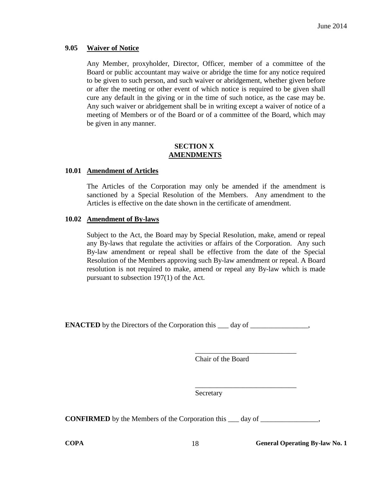#### <span id="page-20-0"></span>**9.05 Waiver of Notice**

Any Member, proxyholder, Director, Officer, member of a committee of the Board or public accountant may waive or abridge the time for any notice required to be given to such person, and such waiver or abridgement, whether given before or after the meeting or other event of which notice is required to be given shall cure any default in the giving or in the time of such notice, as the case may be. Any such waiver or abridgement shall be in writing except a waiver of notice of a meeting of Members or of the Board or of a committee of the Board, which may be given in any manner.

#### **SECTION X AMENDMENTS**

#### <span id="page-20-2"></span><span id="page-20-1"></span>**10.01 Amendment of Articles**

The Articles of the Corporation may only be amended if the amendment is sanctioned by a Special Resolution of the Members. Any amendment to the Articles is effective on the date shown in the certificate of amendment.

#### <span id="page-20-3"></span>**10.02 Amendment of By-laws**

Subject to the Act, the Board may by Special Resolution, make, amend or repeal any By-laws that regulate the activities or affairs of the Corporation. Any such By-law amendment or repeal shall be effective from the date of the Special Resolution of the Members approving such By-law amendment or repeal. A Board resolution is not required to make, amend or repeal any By-law which is made pursuant to subsection 197(1) of the Act.

**ENACTED** by the Directors of the Corporation this \_\_\_\_ day of

Chair of the Board

\_\_\_\_\_\_\_\_\_\_\_\_\_\_\_\_\_\_\_\_\_\_\_\_\_\_\_\_

\_\_\_\_\_\_\_\_\_\_\_\_\_\_\_\_\_\_\_\_\_\_\_\_\_\_\_\_

Secretary

**CONFIRMED** by the Members of the Corporation this \_\_\_ day of \_\_\_\_\_\_\_\_\_\_\_\_\_\_\_\_\_\_\_

**COPA 18 General Operating By-law No. 1**